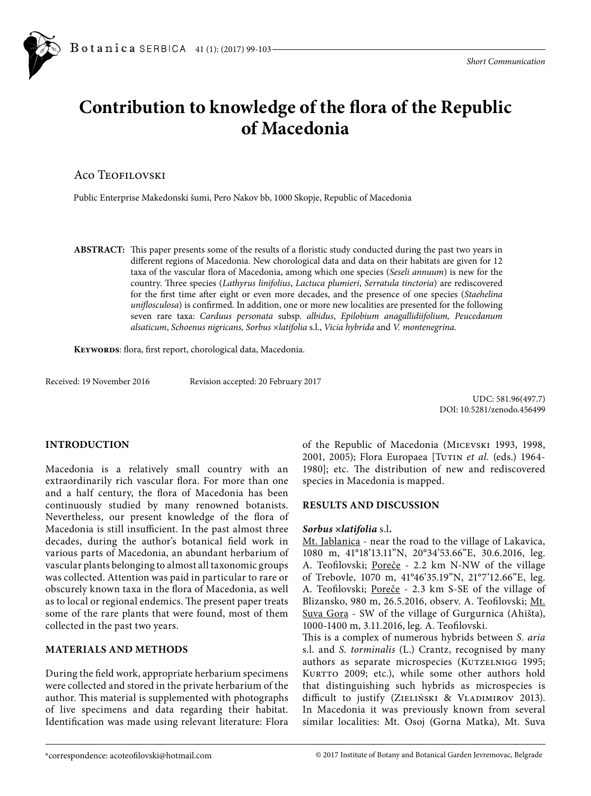# **Contribution to knowledge of the flora of the Republic of Macedonia**

## Aco Teofilovski

Public Enterprise Makedonski šumi, Pero Nakov bb, 1000 Skopje, Republic of Macedonia

**ABSTRACT:** This paper presents some of the results of a floristic study conducted during the past two years in different regions of Macedonia. New chorological data and data on their habitats are given for 12 taxa of the vascular flora of Macedonia, among which one species (*Seseli annuum*) is new for the country. Three species (*Lathyrus linifolius*, *Lactuca plumieri*, *Serratula tinctoria*) are rediscovered for the first time after eight or even more decades, and the presence of one species (*Staehelina uniflosculosa*) is confirmed. In addition, one or more new localities are presented for the following seven rare taxa: *Carduus personata* subsp. *albidus*, *Epilobium anagallidiifolium, Peucedanum alsaticum*, *Schoenus nigricans, Sorbus* ×*latifolia* s.l., *Vicia hybrida* and *V. montenegrina.*

**Keywords**: flora, first report, chorological data, Macedonia.

Received: 19 November 2016 Revision accepted: 20 February 2017

UDC: 581.96(497.7) DOI: 10.5281/zenodo.456499

## **INTRODUCTION**

Macedonia is a relatively small country with an extraordinarily rich vascular flora. For more than one and a half century, the flora of Macedonia has been continuously studied by many renowned botanists. Nevertheless, our present knowledge of the flora of Macedonia is still insufficient. In the past almost three decades, during the author's botanical field work in various parts of Macedonia, an abundant herbarium of vascular plants belonging to almost all taxonomic groups was collected. Attention was paid in particular to rare or obscurely known taxa in the flora of Macedonia, as well as to local or regional endemics. The present paper treats some of the rare plants that were found, most of them collected in the past two years.

## **MATERIALS AND METHODS**

During the field work, appropriate herbarium specimens were collected and stored in the private herbarium of the author. This material is supplemented with photographs of live specimens and data regarding their habitat. Identification was made using relevant literature: Flora

of the Republic of Macedonia (Micevski 1993, 1998, 2001, 2005); Flora Europaea [Tutin *et al.* (eds.) 1964- 1980]; etc. The distribution of new and rediscovered species in Macedonia is mapped.

## **RESULTS AND DISCUSSION**

## *Sorbus* **×***latifolia* s.l**.**

Mt. Jablanica - near the road to the village of Lakavica, 1080 m, 41°18'13.11"N, 20°34'53.66"E, 30.6.2016, leg. A. Teofilovski; Poreče - 2.2 km N-NW of the village of Trebovle, 1070 m, 41°46'35.19"N, 21°7'12.66"E, leg. A. Teofilovski; Poreče - 2.3 km S-SE of the village of Blizansko, 980 m, 26.5.2016, observ. A. Teofilovski; Mt. Suva Gora - SW of the village of Gurgurnica (Ahišta), 1000-1400 m, 3.11.2016, leg. A. Teofilovski.

This is a complex of numerous hybrids between *S. aria* s.l. and *S. torminalis* (L.) Crantz, recognised by many authors as separate microspecies (KUTZELNIGG 1995; KURTTO 2009; etc.), while some other authors hold that distinguishing such hybrids as microspecies is difficult to justify (ZIELIŃSKI & VLADIMIROV 2013). In Macedonia it was previously known from several similar localities: Mt. Osoj (Gorna Matka), Mt. Suva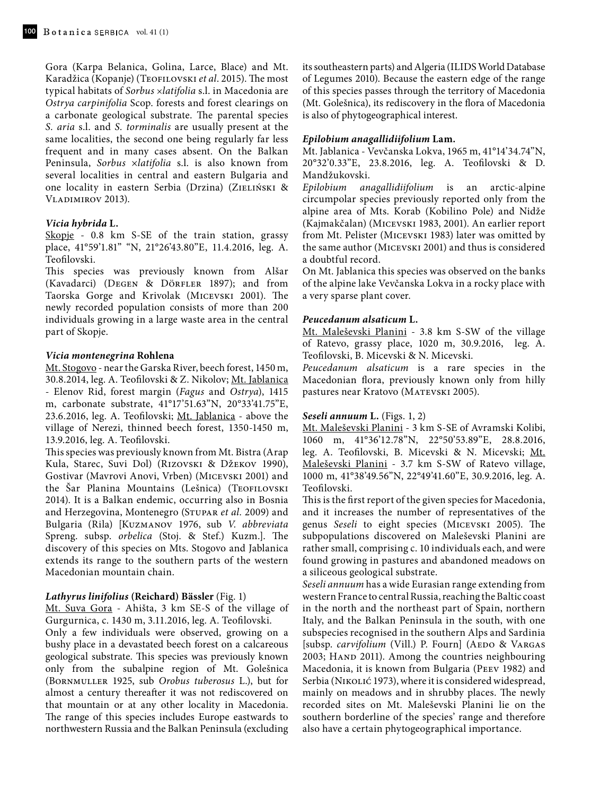Gora (Karpa Belanica, Golina, Larce, Blace) and Mt. Karadžica (Kopanje) (Teofilovski *et al.* 2015). The most typical habitats of *Sorbus* ×*latifolia* s.l. in Macedonia are *Ostrya carpinifolia* Scop. forests and forest clearings on a carbonate geological substrate. The parental species *S. aria* s.l. and *S. torminalis* are usually present at the same localities, the second one being regularly far less frequent and in many cases absent. On the Balkan Peninsula, *Sorbus* ×*latifolia* s.l. is also known from several localities in central and eastern Bulgaria and one locality in eastern Serbia (Drzina) (ZIELIŃSKI & VLADIMIROV 2013).

## *Vicia hybrida* **L.**

Skopje - 0.8 km S-SE of the train station, grassy place, 41°59'1.81" "N, 21°26'43.80"E, 11.4.2016, leg. A. Teofilovski.

This species was previously known from Alšar (Kavadarci) (DEGEN & DÖRFLER 1897); and from Taorska Gorge and Krivolak (Micevski 2001). The newly recorded population consists of more than 200 individuals growing in a large waste area in the central part of Skopje.

## *Vicia montenegrina* **Rohlena**

Mt. Stogovo - near the Garska River, beech forest, 1450 m, 30.8.2014, leg. A. Teofilovski & Z. Nikolov; Mt. Jablanica - Elenov Rid, forest margin (*Fagus* and *Ostrya*), 1415 m, carbonate substrate, 41°17'51.63"N, 20°33'41.75"E, 23.6.2016, leg. A. Teofilovski; Mt. Jablanica - above the village of Nerezi, thinned beech forest, 1350-1450 m, 13.9.2016, leg. A. Teofilovski.

This species was previously known from Mt. Bistra (Arap Kula, Starec, Suvi Dol) (Rizovski & Džekov 1990), Gostivar (Mavrovi Anovi, Vrben) (Micevski 2001) and the Šar Planina Mountains (Lešnica) (Teofilovski 2014). It is a Balkan endemic, occurring also in Bosnia and Herzegovina, Montenegro (STUPAR et al. 2009) and Bulgaria (Rila) [Kuzmanov 1976, sub *V. abbreviata*  Spreng. subsp. *orbelica* (Stoj. & Stef.) Kuzm.]. The discovery of this species on Mts. Stogovo and Jablanica extends its range to the southern parts of the western Macedonian mountain chain.

## *Lathyrus linifolius* **(Reichard) Bässler** (Fig. 1)

Mt. Suva Gora - Ahišta, 3 km SE-S of the village of Gurgurnica, c. 1430 m, 3.11.2016, leg. A. Teofilovski.

Only a few individuals were observed, growing on a bushy place in a devastated beech forest on a calcareous geological substrate. This species was previously known only from the subalpine region of Mt. Golešnica (Bornmuller 1925, sub *Orobus tuberosus* L.), but for almost a century thereafter it was not rediscovered on that mountain or at any other locality in Macedonia. The range of this species includes Europe eastwards to northwestern Russia and the Balkan Peninsula (excluding

its southeastern parts) and Algeria (ILIDS World Database of Legumes 2010). Because the eastern edge of the range of this species passes through the territory of Macedonia (Mt. Golešnica), its rediscovery in the flora of Macedonia is also of phytogeographical interest.

#### *Epilobium anagallidiifolium* **Lam.**

Mt. Jablanica - Vevčanska Lokva, 1965 m, 41°14'34.74"N, 20°32'0.33"E, 23.8.2016, leg. A. Teofilovski & D. Mandžukovski.

*Epilobium anagallidiifolium* is an arctic-alpine circumpolar species previously reported only from the alpine area of Mts. Korab (Kobilino Pole) and Nidže (Kajmakčalan) (Micevski 1983, 2001). An earlier report from Mt. Pelister (Micevski 1983) later was omitted by the same author (Micevski 2001) and thus is considered a doubtful record.

On Mt. Jablanica this species was observed on the banks of the alpine lake Vevčanska Lokva in a rocky place with a very sparse plant cover.

## *Peucedanum alsaticum* **L.**

Mt. Maleševski Planini - 3.8 km S-SW of the village of Ratevo, grassy place, 1020 m, 30.9.2016, leg. A. Teofilovski, B. Micevski & N. Micevski.

*Peucedanum alsaticum* is a rare species in the Macedonian flora, previously known only from hilly pastures near Kratovo (Matevski 2005).

#### *Seseli annuum* **L.** (Figs. 1, 2)

Mt. Maleševski Planini - 3 km S-SE of Avramski Kolibi, 1060 m, 41°36'12.78"N, 22°50'53.89"E, 28.8.2016, leg. A. Teofilovski, B. Micevski & N. Micevski; Mt. Maleševski Planini - 3.7 km S-SW of Ratevo village, 1000 m, 41°38'49.56"N, 22°49'41.60"E, 30.9.2016, leg. A. Teofilovski.

This is the first report of the given species for Macedonia, and it increases the number of representatives of the genus *Seseli* to eight species (Micevski 2005). The subpopulations discovered on Maleševski Planini are rather small, comprising c. 10 individuals each, and were found growing in pastures and abandoned meadows on a siliceous geological substrate.

*Seseli annuum* has a wide Eurasian range extending from western France to central Russia, reaching the Baltic coast in the north and the northeast part of Spain, northern Italy, and the Balkan Peninsula in the south, with one subspecies recognised in the southern Alps and Sardinia [subsp. *carvifolium* (Vill.) P. Fourn] (AEDO & VARGAS 2003; HAND 2011). Among the countries neighbouring Macedonia, it is known from Bulgaria (Peev 1982) and Serbia (NIKOLIĆ 1973), where it is considered widespread, mainly on meadows and in shrubby places. The newly recorded sites on Mt. Maleševski Planini lie on the southern borderline of the species' range and therefore also have a certain phytogeographical importance.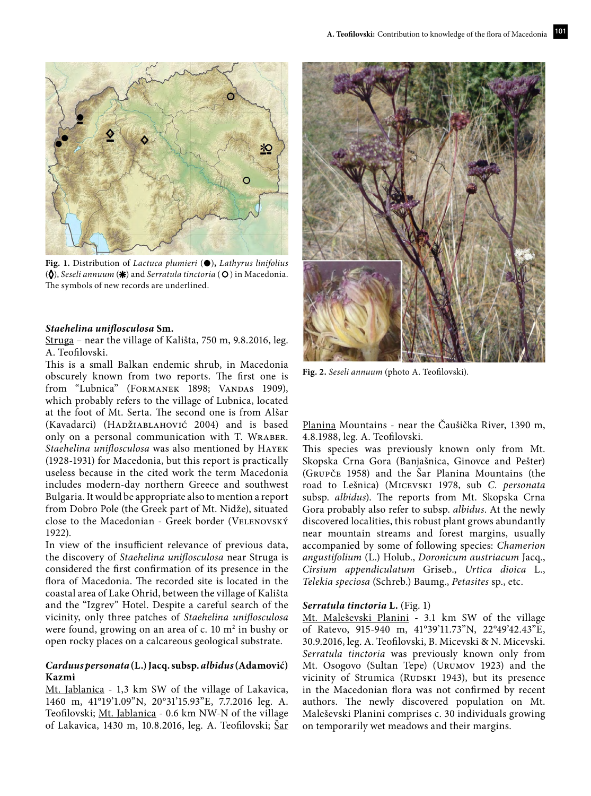

**Fig. 1.** Distribution of *Lactuca plumieri* (**•**)**,** *Lathyrus linifolius* (**◊**), *Seseli annuum* (**✳**) and *Serratula tinctoria* ( ) in Macedonia. The symbols of new records are underlined.

#### *Staehelina uniflosculosa* **Sm.**

Struga – near the village of Kališta, 750 m, 9.8.2016, leg. A. Teofilovski.

This is a small Balkan endemic shrub, in Macedonia obscurely known from two reports. The first one is from "Lubnica" (FORMANEK 1898; VANDAS 1909), which probably refers to the village of Lubnica, located at the foot of Mt. Serta. The second one is from Alšar (Kavadarci) (Hadžiablahović 2004) and is based only on a personal communication with T. Wraber. *Staehelina uniflosculosa* was also mentioned by Hayek (1928-1931) for Macedonia, but this report is practically useless because in the cited work the term Macedonia includes modern-day northern Greece and southwest Bulgaria. It would be appropriate also to mention a report from Dobro Pole (the Greek part of Mt. Nidže), situated close to the Macedonian - Greek border (VELENOVSKÝ 1922).

In view of the insufficient relevance of previous data, the discovery of *Staehelina uniflosculosa* near Struga is considered the first confirmation of its presence in the flora of Macedonia. The recorded site is located in the coastal area of Lake Ohrid, between the village of Kališta and the "Izgrev" Hotel. Despite a careful search of the vicinity, only three patches of *Staehelina uniflosculosa*  were found, growing on an area of  $c$ . 10  $m<sup>2</sup>$  in bushy or open rocky places on a calcareous geological substrate.

## *Carduus personata* **(L.) Jacq. subsp.** *albidus* **(Adamović) Kazmi**

Mt. Jablanica - 1,3 km SW of the village of Lakavica, 1460 m, 41°19'1.09"N, 20°31'15.93"E, 7.7.2016 leg. A. Teofilovski; Mt. Jablanica - 0.6 km NW-N of the village of Lakavica, 1430 m, 10.8.2016, leg. A. Teofilovski; Šar



**Fig. 2.** *Seseli annuum* (photo A. Teofilovski).

Planina Mountains - near the Čaušička River, 1390 m, 4.8.1988, leg. A. Teofilovski.

This species was previously known only from Mt. Skopska Crna Gora (Banjašnica, Ginovce and Pešter) (Grupče 1958) and the Šar Planina Mountains (the road to Lešnica) (Micevski 1978, sub *C. personata*  subsp. *albidus*). The reports from Mt. Skopska Crna Gora probably also refer to subsp. *albidus*. At the newly discovered localities, this robust plant grows abundantly near mountain streams and forest margins, usually accompanied by some of following species: *Chamerion angustifolium* (L.) Holub., *Doronicum austriacum* Jacq., *Cirsium appendiculatum* Griseb., *Urtica dioica* L., *Telekia speciosa* (Schreb.) Baumg., *Petasites* sp., etc.

#### *Serratula tinctoria* **L.** (Fig. 1)

Mt. Maleševski Planini - 3.1 km SW of the village of Ratevo, 915-940 m, 41°39'11.73"N, 22°49'42.43"E, 30.9.2016, leg. A. Teofilovski, B. Micevski & N. Micevski. *Serratula tinctoria* was previously known only from Mt. Osogovo (Sultan Tepe) (Urumov 1923) and the vicinity of Strumica (RUDSKI 1943), but its presence in the Macedonian flora was not confirmed by recent authors. The newly discovered population on Mt. Maleševski Planini comprises c. 30 individuals growing on temporarily wet meadows and their margins.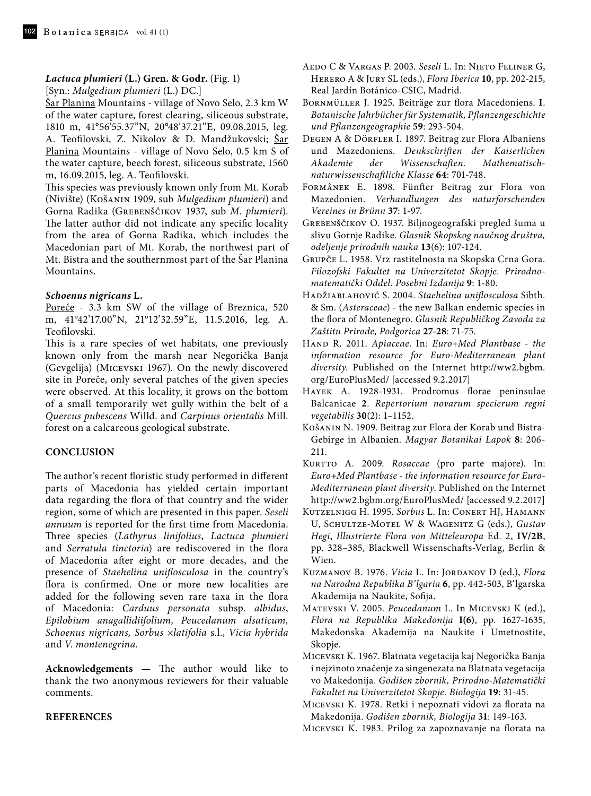## *Lactuca plumieri* **(L.) Gren. & Godr.** (Fig. 1)

[Syn.: *Mulgedium plumieri* (L.) DC.] Šar Planina Mountains - village of Novo Selo, 2.3 km W of the water capture, forest clearing, siliceous substrate, 1810 m, 41°56'55.37"N, 20°48'37.21"E, 09.08.2015, leg. A. Teofilovski, Z. Nikolov & D. Mandžukovski; Šar Planina Mountains - village of Novo Selo, 0.5 km S of the water capture, beech forest, siliceous substrate, 1560 m, 16.09.2015, leg. A. Teofilovski.

This species was previously known only from Mt. Korab (Nivište) (Košanin 1909, sub *Mulgedium plumieri*) and Gorna Radika (Grebenščikov 1937, sub *M. plumieri*). The latter author did not indicate any specific locality from the area of Gorna Radika, which includes the Macedonian part of Mt. Korab, the northwest part of Mt. Bistra and the southernmost part of the Šar Planina Mountains.

## *Schoenus nigricans* **L.**

Poreče - 3.3 km SW of the village of Breznica, 520 m, 41°42'17.00"N, 21°12'32.59"E, 11.5.2016, leg. A. Teofilovski.

This is a rare species of wet habitats, one previously known only from the marsh near Negorička Banja (Gevgelija) (Micevski 1967). On the newly discovered site in Poreče, only several patches of the given species were observed. At this locality, it grows on the bottom of a small temporarily wet gully within the belt of a *Quercus pubescens* Willd. and *Carpinus orientalis* Mill. forest on a calcareous geological substrate.

## **CONCLUSION**

The author's recent floristic study performed in different parts of Macedonia has yielded certain important data regarding the flora of that country and the wider region, some of which are presented in this paper. *Seseli annuum* is reported for the first time from Macedonia. Three species (*Lathyrus linifolius*, *Lactuca plumieri*  and *Serratula tinctoria*) are rediscovered in the flora of Macedonia after eight or more decades, and the presence of *Staehelina uniflosculosa* in the country's flora is confirmed. One or more new localities are added for the following seven rare taxa in the flora of Macedonia: *Carduus personata* subsp. *albidus*, *Epilobium anagallidiifolium, Peucedanum alsaticum, Schoenus nigricans, Sorbus* ×*latifolia* s.l., *Vicia hybrida*  and *V. montenegrina.*

**Acknowledgements —** The author would like to thank the two anonymous reviewers for their valuable comments.

## **REFERENCES**

- Aedo C & Vargas P. 2003. *Seseli* L. In: Nieto Feliner G, Herero A & Jury SL (eds.), *Flora Iberica* **10**, pp. 202-215, Real Jardín Botánico-CSIC, Madrid.
- Bornmüller J. 1925. Beiträge zur flora Macedoniens. **I**. *Botanische Jahrbücher für Systematik, Pflanzengeschichte und Pflanzengeographie* **59**: 293-504.
- Degen A & Dörfler I. 1897. Beitrag zur Flora Albaniens und Mazedoniens. *Denkschriften der Kaiserlichen Akademie der Wissenschaften. Mathematischnaturwissenschaftliche Klasse* **64**: 701-748.
- Formânek E. 1898. Fünfter Beitrag zur Flora von Mazedonien. *Verhandlungen des naturforschenden Vereines in Brünn* **37**: 1-97.
- Grebenščikov O. 1937. Biljnogeografski pregled šuma u slivu Gornje Radike. *Glasnik Skopskog naučnog društva, odeljenje prirodnih nauka* **13**(6): 107-124.
- Grupče L. 1958. Vrz rastitelnosta na Skopska Crna Gora. *Filozofski Fakultet na Univerzitetot Skopje. Prirodnomatematički Oddel. Posebni Izdanija* **9**: 1-80.
- Hadžiablahović S. 2004. *Staehelina uniflosculosa* Sibth. & Sm. (*Asteraceae*) - the new Balkan endemic species in the flora of Montenegro. *Glasnik Republičkog Zavoda za Zaštitu Prirode, Podgorica* **27-28**: 71-75.
- Hand R. 2011. *Apiaceae*. In*: Euro+Med Plantbase the information resource for Euro-Mediterranean plant diversity*. Published on the Internet http://ww2.bgbm. org/EuroPlusMed/ [accessed 9.2.2017]
- Hayek A. 1928-1931. Prodromus florae peninsulae Balcanicae **2**. *Repertorium novarum specierum regni vegetabilis* **30**(2): 1–1152.
- Košanin N. 1909. Beitrag zur Flora der Korab und Bistra-Gebirge in Albanien. *Magyar Botanikai Lapok* **8**: 206- 211.
- Kurtto A. 2009. *Rosaceae* (pro parte majore). In: *Euro+Med Plantbase - the information resource for Euro-Mediterranean plant diversity*. Published on the Internet http://ww2.bgbm.org/EuroPlusMed/ [accessed 9.2.2017]
- Kutzelnigg H. 1995. *Sorbus* L. In: Conert HJ, Hamann U, Schultze-Motel W & Wagenitz G (eds.), *Gustav Hegi*, *Illustrierte Flora von Mitteleuropa* Ed. 2, **IV/2B**, pp. 328–385, Blackwell Wissenschafts-Verlag, Berlin & Wien.
- Kuzmanov B. 1976. *Vicia* L. In: Jordanov D (ed.), *Flora na Narodna Republika B'lgaria* **6**, pp. 442-503, B'lgarska Akademija na Naukite, Sofija.
- Matevski V. 2005. *Peucedanum* L. In Micevski K (ed.), *Flora na Republika Makedonija* **I(6)**, pp. 1627-1635, Makedonska Akademija na Naukite i Umetnostite, Skopje.
- Micevski K. 1967. Blatnata vegetacija kaj Negorička Banja i nejzinoto značenje za singenezata na Blatnata vegetacija vo Makedonija. *Godišen zbornik, Prirodno-Matematički Fakultet na Univerzitetot Skopje. Biologija* **19**: 31-45.
- Micevski K. 1978. Retki i nepoznati vidovi za florata na Makedonija. *Godišen zbornik, Biologija* **31**: 149-163.

Micevski K. 1983. Prilog za zapoznavanje na florata na